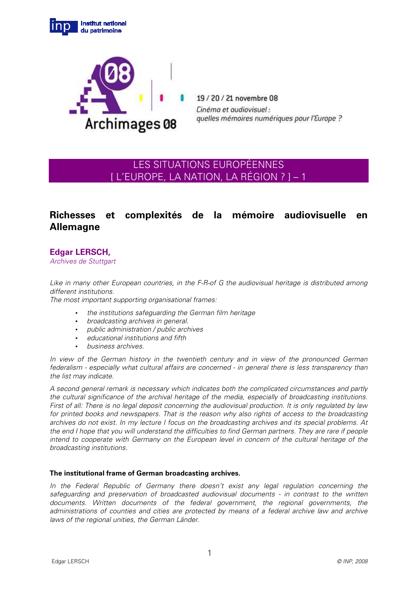



19/20/21 novembre 08 Cinéma et audiovisuel: quelles mémoires numériques pour l'Europe ?

# LES SITUATIONS EUROPÉENNES [ L'EUROPE, LA NATION, LA RÉGION ? ] – 1

## **Richesses et complexités de la mémoire audiovisuelle en Allemagne**

## **Edgar LERSCH,**

Archives de Stuttgart

Like in many other European countries, in the F-R-of G the audiovisual heritage is distributed among different institutions.

The most important supporting organisational frames:

- the institutions safeguarding the German film heritage
- broadcasting archives in general.
- public administration / public archives
- educational institutions and fifth
- business archives.

In view of the German history in the twentieth century and in view of the pronounced German federalism - especially what cultural affairs are concerned - in general there is less transparency than the list may indicate.

A second general remark is necessary which indicates both the complicated circumstances and partly the cultural significance of the archival heritage of the media, especially of broadcasting institutions. First of all: There is no legal deposit concerning the audiovisual production. It is only regulated by law for printed books and newspapers. That is the reason why also rights of access to the broadcasting archives do not exist. In my lecture I focus on the broadcasting archives and its special problems. At the end I hope that you will understand the difficulties to find German partners. They are rare if people intend to cooperate with Germany on the European level in concern of the cultural heritage of the broadcasting institutions.

### **The institutional frame of German broadcasting archives.**

In the Federal Republic of Germany there doesn't exist any legal regulation concerning the safeguarding and preservation of broadcasted audiovisual documents - in contrast to the written documents. Written documents of the federal government, the regional governments, the administrations of counties and cities are protected by means of a federal archive law and archive laws of the regional unities, the German Länder.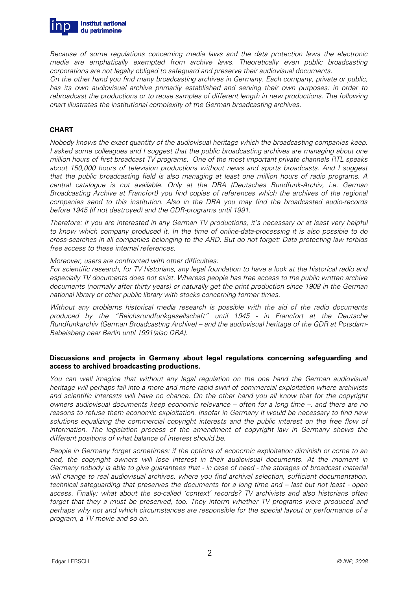

Because of some regulations concerning media laws and the data protection laws the electronic media are emphatically exempted from archive laws. Theoretically even public broadcasting corporations are not legally obliged to safeguard and preserve their audiovisual documents.

On the other hand you find many broadcasting archives in Germany. Each company, private or public, has its own audiovisuel archive primarily established and serving their own purposes: in order to rebroadcast the productions or to reuse samples of different length in new productions. The following chart illustrates the institutional complexity of the German broadcasting archives.

### **CHART**

Nobody knows the exact quantity of the audiovisual heritage which the broadcasting companies keep. I asked some colleagues and I suggest that the public broadcasting archives are managing about one million hours of first broadcast TV programs. One of the most important private channels RTL speaks about 150,000 hours of television productions without news and sports broadcasts. And I suggest that the public broadcasting field is also managing at least one million hours of radio programs. A central catalogue is not available. Only at the DRA (Deutsches Rundfunk-Archiv, i.e. German Broadcasting Archive at Francfort) you find copies of references which the archives of the regional companies send to this institution. Also in the DRA you may find the broadcasted audio-records before 1945 (if not destroyed) and the GDR-programs until 1991.

Therefore: if you are interested in any German TV productions, it's necessary or at least very helpful to know which company produced it. In the time of online-data-processing it is also possible to do cross-searches in all companies belonging to the ARD. But do not forget: Data protecting law forbids free access to these internal references.

#### Moreover, users are confronted with other difficulties:

For scientific research, for TV historians, any legal foundation to have a look at the historical radio and especially TV documents does not exist. Whereas people has free access to the public written archive documents (normally after thirty years) or naturally get the print production since 1908 in the German national library or other public library with stocks concerning former times.

Without any problems historical media research is possible with the aid of the radio documents produced by the "Reichsrundfunkgesellschaft" until 1945 - in Francfort at the Deutsche Rundfunkarchiv (German Broadcasting Archive) – and the audiovisual heritage of the GDR at Potsdam-Babelsberg near Berlin until 1991(also DRA).

#### **Discussions and projects in Germany about legal regulations concerning safeguarding and access to archived broadcasting productions.**

You can well imagine that without any legal regulation on the one hand the German audiovisual heritage will perhaps fall into a more and more rapid swirl of commercial exploitation where archivists and scientific interests will have no chance. On the other hand you all know that for the copyright owners audiovisual documents keep economic relevance – often for a long time –, and there are no reasons to refuse them economic exploitation. Insofar in Germany it would be necessary to find new solutions equalizing the commercial copyright interests and the public interest on the free flow of information. The legislation process of the amendment of copyright law in Germany shows the different positions of what balance of interest should be.

People in Germany forget sometimes: if the options of economic exploitation diminish or come to an end, the copyright owners will lose interest in their audiovisual documents. At the moment in Germany nobody is able to give guarantees that - in case of need - the storages of broadcast material will change to real audiovisual archives, where you find archival selection, sufficient documentation, technical safeguarding that preserves the documents for a long time and – last but not least - open access. Finally: what about the so-called 'context' records? TV archivists and also historians often forget that they a must be preserved, too. They inform whether TV programs were produced and perhaps why not and which circumstances are responsible for the special layout or performance of a program, a TV movie and so on.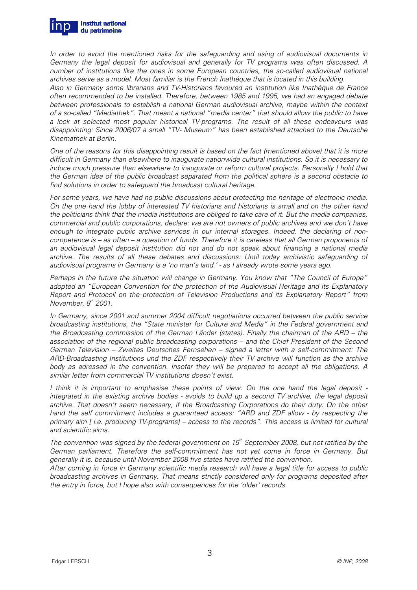

In order to avoid the mentioned risks for the safeguarding and using of audiovisual documents in Germany the legal deposit for audiovisual and generally for TV programs was often discussed. A number of institutions like the ones in some European countries, the so-called audiovisual national archives serve as a model. Most familiar is the French Inathéque that is located in this building.

Also in Germany some librarians and TV-Historians favoured an institution like Inathéque de France often recommended to be installed. Therefore, between 1985 and 1995, we had an engaged debate between professionals to establish a national German audiovisual archive, maybe within the context of a so-called "Mediathek". That meant a national "media center" that should allow the public to have a look at selected most popular historical TV-programs. The result of all these endeavours was disappointing: Since 2006/07 a small "TV- Museum" has been established attached to the Deutsche Kinemathek at Berlin.

One of the reasons for this disappointing result is based on the fact (mentioned above) that it is more difficult in Germany than elsewhere to inaugurate nationwide cultural institutions. So it is necessary to induce much pressure than elsewhere to inaugurate or reform cultural projects. Personally I hold that the German idea of the public broadcast separated from the political sphere is a second obstacle to find solutions in order to safeguard the broadcast cultural heritage.

For some years, we have had no public discussions about protecting the heritage of electronic media. On the one hand the lobby of interested TV historians and historians is small and on the other hand the politicians think that the media institutions are obliged to take care of it. But the media companies, commercial and public corporations, declare: we are not owners of public archives and we don't have enough to integrate public archive services in our internal storages. Indeed, the declaring of noncompetence is – as often – a question of funds. Therefore it is careless that all German proponents of an audiovisual legal deposit institution did not and do not speak about financing a national media archive. The results of all these debates and discussions: Until today archivistic safeguarding of audiovisual programs in Germany is a 'no man's land.' - as I already wrote some years ago.

Perhaps in the future the situation will change in Germany. You know that "The Council of Europe" adopted an "European Convention for the protection of the Audiovisual Heritage and its Explanatory Report and Protocoll on the protection of Television Productions and its Explanatory Report" from November,  $8<sup>th</sup>$  2001.

In Germany, since 2001 and summer 2004 difficult negotiations occurred between the public service broadcasting institutions, the "State minister for Culture and Media" in the Federal government and the Broadcasting commission of the German Länder (states). Finally the chairman of the ARD – the association of the regional public broadcasting corporations – and the Chief President of the Second German Television – Zweites Deutsches Fernsehen – signed a letter with a self-commitment: The ARD-Broadcasting Institutions und the ZDF respectively their TV archive will function as the archive body as adressed in the convention. Insofar they will be prepared to accept all the obligations. A similar letter from commercial TV institutions doesn't exist.

I think it is important to emphasise these points of view: On the one hand the legal deposit integrated in the existing archive bodies - avoids to build up a second TV archive, the legal deposit archive. That doesn't seem necessary, if the Broadcasting Corporations do their duty. On the other hand the self commitment includes a guaranteed access: "ARD and ZDF allow - by respecting the primary aim [ i.e. producing TV-programs] – access to the records". This access is limited for cultural and scientific aims.

The convention was signed by the federal government on  $15<sup>th</sup>$  September 2008, but not ratified by the German parliament. Therefore the self-commitment has not yet come in force in Germany. But generally it is, because until November 2008 five states have ratified the convention.

After coming in force in Germany scientific media research will have a legal title for access to public broadcasting archives in Germany. That means strictly considered only for programs deposited after the entry in force, but I hope also with consequences for the 'older' records.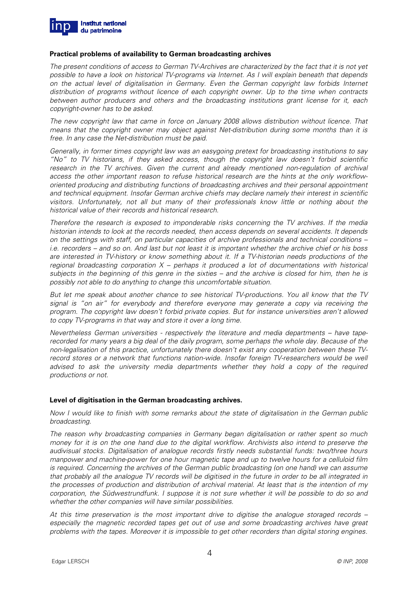

#### **Practical problems of availability to German broadcasting archives**

The present conditions of access to German TV-Archives are characterized by the fact that it is not yet possible to have a look on historical TV-programs via Internet. As I will explain beneath that depends on the actual level of digitalisation in Germany. Even the German copyright law forbids Internet distribution of programs without licence of each copyright owner. Up to the time when contracts between author producers and others and the broadcasting institutions grant license for it, each copyright-owner has to be asked.

The new copyright law that came in force on January 2008 allows distribution without licence. That means that the copyright owner may object against Net-distribution during some months than it is free. In any case the Net-distribution must be paid.

Generally, in former times copyright law was an easygoing pretext for broadcasting institutions to say "No" to TV historians, if they asked access, though the copyright law doesn't forbid scientific research in the TV archives. Given the current and already mentioned non-regulation of archival access the other important reason to refuse historical research are the hints at the only workfloworiented producing and distributing functions of broadcasting archives and their personal appointment and technical equipment. Insofar German archive chiefs may declare namely their interest in scientific visitors. Unfortunately, not all but many of their professionals know little or nothing about the historical value of their records and historical research.

Therefore the research is exposed to imponderable risks concerning the TV archives. If the media historian intends to look at the records needed, then access depends on several accidents. It depends on the settings with staff, on particular capacities of archive professionals and technical conditions – i.e. recorders – and so on. And last but not least it is important whether the archive chief or his boss are interested in TV-history or know something about it. If a TV-historian needs productions of the regional broadcasting corporation  $X$  – perhaps it produced a lot of documentations with historical subjects in the beginning of this genre in the sixties – and the archive is closed for him, then he is possibly not able to do anything to change this uncomfortable situation.

But let me speak about another chance to see historical TV-productions. You all know that the TV signal is "on air" for everybody and therefore everyone may generate a copy via receiving the program. The copyright law doesn't forbid private copies. But for instance universities aren't allowed to copy TV-programs in that way and store it over a long time.

Nevertheless German universities - respectively the literature and media departments – have taperecorded for many years a big deal of the daily program, some perhaps the whole day. Because of the non-legalisation of this practice, unfortunately there doesn't exist any cooperation between these TVrecord stores or a network that functions nation-wide. Insofar foreign TV-researchers would be well advised to ask the university media departments whether they hold a copy of the required productions or not.

#### **Level of digitisation in the German broadcasting archives.**

Now I would like to finish with some remarks about the state of digitalisation in the German public broadcasting.

The reason why broadcasting companies in Germany began digitalisation or rather spent so much money for it is on the one hand due to the digital workflow. Archivists also intend to preserve the audivisual stocks. Digitalisation of analogue records firstly needs substantial funds: two/three hours manpower and machine-power for one hour magnetic tape and up to twelve hours for a celluloid film is required. Concerning the archives of the German public broadcasting (on one hand) we can assume that probably all the analogue TV records will be digitised in the future in order to be all integrated in the processes of production and distribution of archival material. At least that is the intention of my corporation, the Südwestrundfunk. I suppose it is not sure whether it will be possible to do so and whether the other companies will have similar possibilities.

At this time preservation is the most important drive to digitise the analogue storaged records – especially the magnetic recorded tapes get out of use and some broadcasting archives have great problems with the tapes. Moreover it is impossible to get other recorders than digital storing engines.